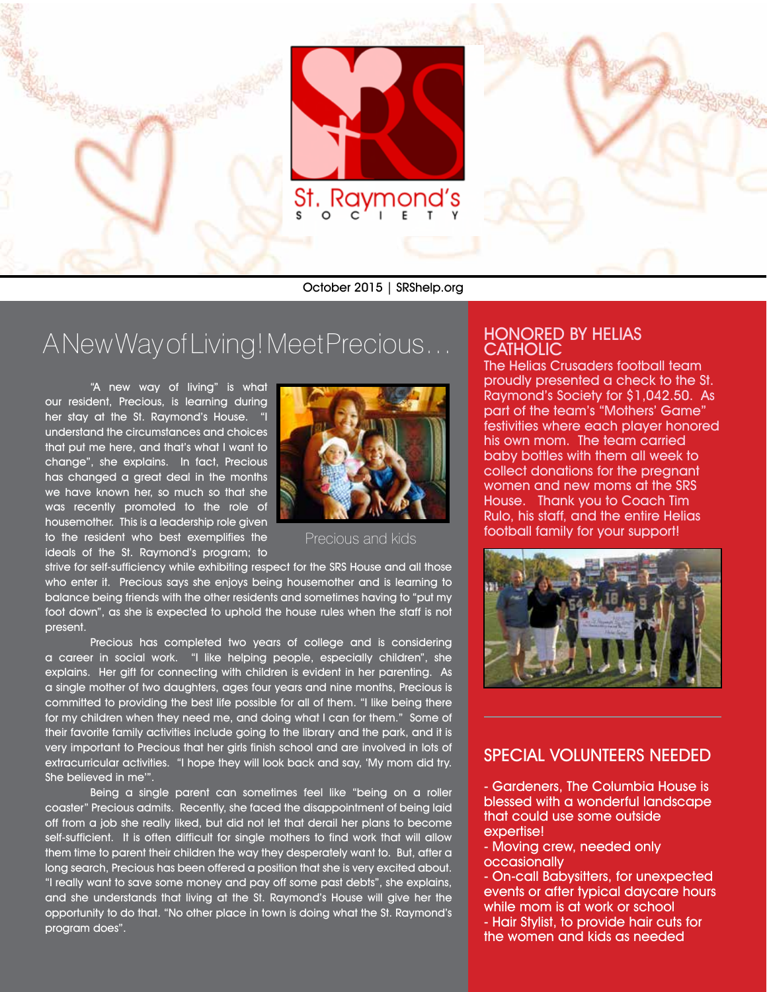

October 2015 | SRShelp.org

## A New Way of Living! Meet Precious…

"A new way of living" is what our resident, Precious, is learning during her stay at the St. Raymond's House. "I understand the circumstances and choices that put me here, and that's what I want to change", she explains. In fact, Precious has changed a great deal in the months we have known her, so much so that she was recently promoted to the role of housemother. This is a leadership role given to the resident who best exemplifies the ideals of the St. Raymond's program; to



Precious and kids

strive for self-sufficiency while exhibiting respect for the SRS House and all those who enter it. Precious says she enjoys being housemother and is learning to balance being friends with the other residents and sometimes having to "put my foot down", as she is expected to uphold the house rules when the staff is not present.

Precious has completed two years of college and is considering a career in social work. "I like helping people, especially children", she explains. Her gift for connecting with children is evident in her parenting. As a single mother of two daughters, ages four years and nine months, Precious is committed to providing the best life possible for all of them. "I like being there for my children when they need me, and doing what I can for them." Some of their favorite family activities include going to the library and the park, and it is very important to Precious that her girls finish school and are involved in lots of extracurricular activities. "I hope they will look back and say, 'My mom did try. She believed in me'".

Being a single parent can sometimes feel like "being on a roller coaster" Precious admits. Recently, she faced the disappointment of being laid off from a job she really liked, but did not let that derail her plans to become self-sufficient. It is often difficult for single mothers to find work that will allow them time to parent their children the way they desperately want to. But, after a long search, Precious has been offered a position that she is very excited about. "I really want to save some money and pay off some past debts", she explains, and she understands that living at the St. Raymond's House will give her the opportunity to do that. "No other place in town is doing what the St. Raymond's program does".

### HONORED BY HELIAS **CATHOLIC**

The Helias Crusaders football team proudly presented a check to the St. Raymond's Society for \$1,042.50. As part of the team's "Mothers' Game" festivities where each player honored his own mom. The team carried baby bottles with them all week to collect donations for the pregnant women and new moms at the SRS House. Thank you to Coach Tim Rulo, his staff, and the entire Helias football family for your support!



#### SPECIAL VOLUNTEERS NEEDED

- Gardeners, The Columbia House is blessed with a wonderful landscape that could use some outside expertise!

- Moving crew, needed only occasionally

- On-call Babysitters, for unexpected events or after typical daycare hours while mom is at work or school - Hair Stylist, to provide hair cuts for the women and kids as needed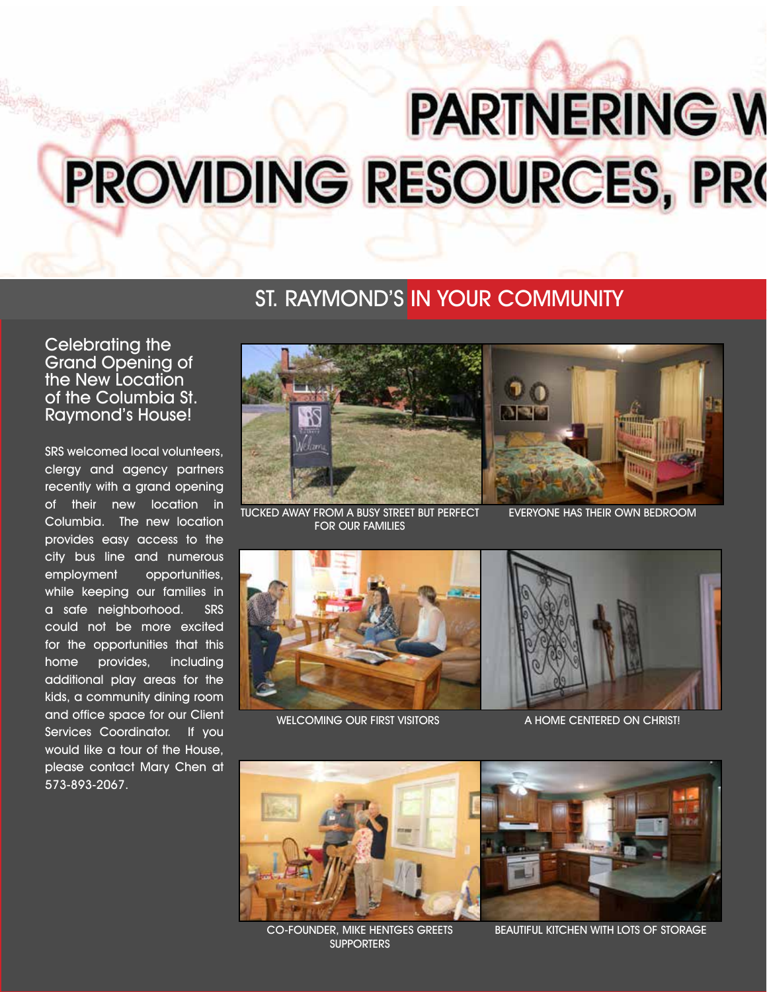# **PARTNERING W** PROVIDING RESOURCES, PRO

## ST. RAYMOND'S IN YOUR COMMUNITY

Celebrating the Grand Opening of the New Location of the Columbia St. Raymond's House!

SRS welcomed local volunteers, clergy and agency partners recently with a grand opening of their new location in Columbia. The new location provides easy access to the city bus line and numerous employment opportunities, while keeping our families in a safe neighborhood. SRS could not be more excited for the opportunities that this home provides, including additional play areas for the kids, a community dining room and office space for our Client Services Coordinator. If you would like a tour of the House, please contact Mary Chen at 573-893-2067.



TUCKED AWAY FROM A BUSY STREET BUT PERFECT FOR OUR FAMILIES



EVERYONE HAS THEIR OWN BEDROOM



WELCOMING OUR FIRST VISITORS



A HOME CENTERED ON CHRIST!



CO-FOUNDER, MIKE HENTGES GREETS **SUPPORTERS** 



BEAUTIFUL KITCHEN WITH LOTS OF STORAGE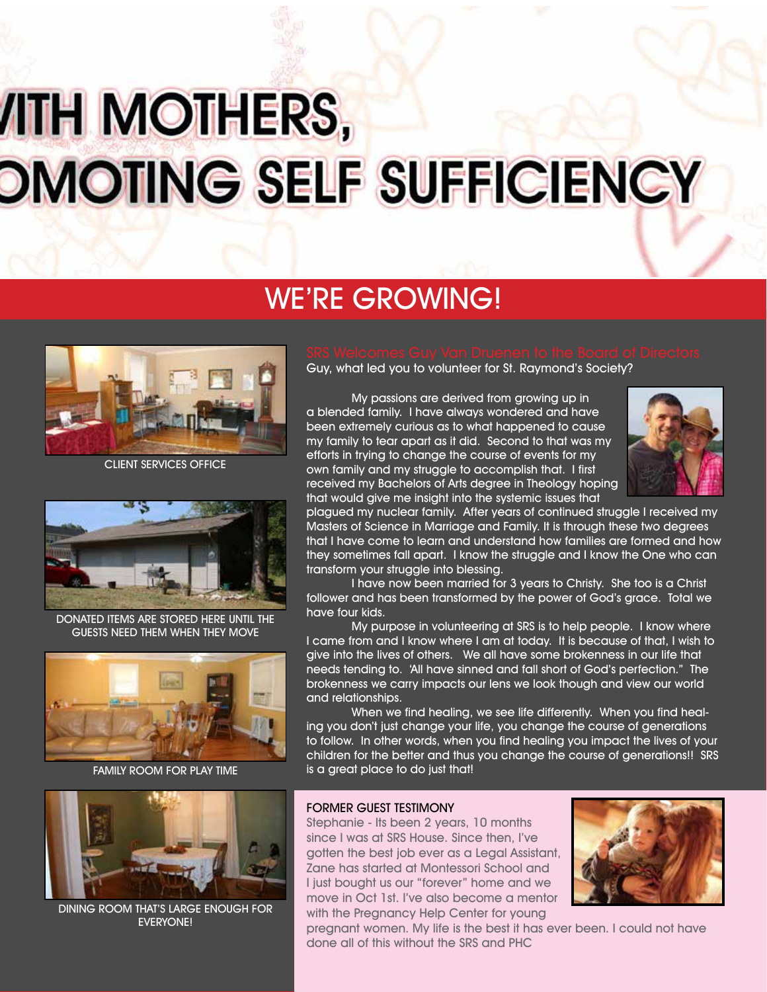## *ITH MOTHERS,* **OMOTING SELF SUFFICIENCY**

## WE'RE GROWING!



CLIENT SERVICES OFFICE



DONATED ITEMS ARE STORED HERE UNTIL THE GUESTS NEED THEM WHEN THEY MOVE



FAMILY ROOM FOR PLAY TIME



DINING ROOM THAT'S LARGE ENOUGH FOR EVERYONE!

Guy, what led you to volunteer for St. Raymond's Society?

My passions are derived from growing up in a blended family. I have always wondered and have been extremely curious as to what happened to cause my family to tear apart as it did. Second to that was my efforts in trying to change the course of events for my own family and my struggle to accomplish that. I first received my Bachelors of Arts degree in Theology hoping that would give me insight into the systemic issues that



plagued my nuclear family. After years of continued struggle I received my Masters of Science in Marriage and Family. It is through these two degrees that I have come to learn and understand how families are formed and how they sometimes fall apart. I know the struggle and I know the One who can transform your struggle into blessing.

I have now been married for 3 years to Christy. She too is a Christ follower and has been transformed by the power of God's grace. Total we have four kids.

My purpose in volunteering at SRS is to help people. I know where I came from and I know where I am at today. It is because of that, I wish to give into the lives of others. We all have some brokenness in our life that needs tending to. 'All have sinned and fall short of God's perfection." The brokenness we carry impacts our lens we look though and view our world and relationships.

When we find healing, we see life differently. When you find healing you don't just change your life, you change the course of generations to follow. In other words, when you find healing you impact the lives of your children for the better and thus you change the course of generations!! SRS is a great place to do just that!

#### FORMER GUEST TESTIMONY

Stephanie - Its been 2 years, 10 months since I was at SRS House. Since then, I've gotten the best job ever as a Legal Assistant, Zane has started at Montessori School and I just bought us our "forever" home and we move in Oct 1st. I've also become a mentor with the Pregnancy Help Center for young



pregnant women. My life is the best it has ever been. I could not have done all of this without the SRS and PHC